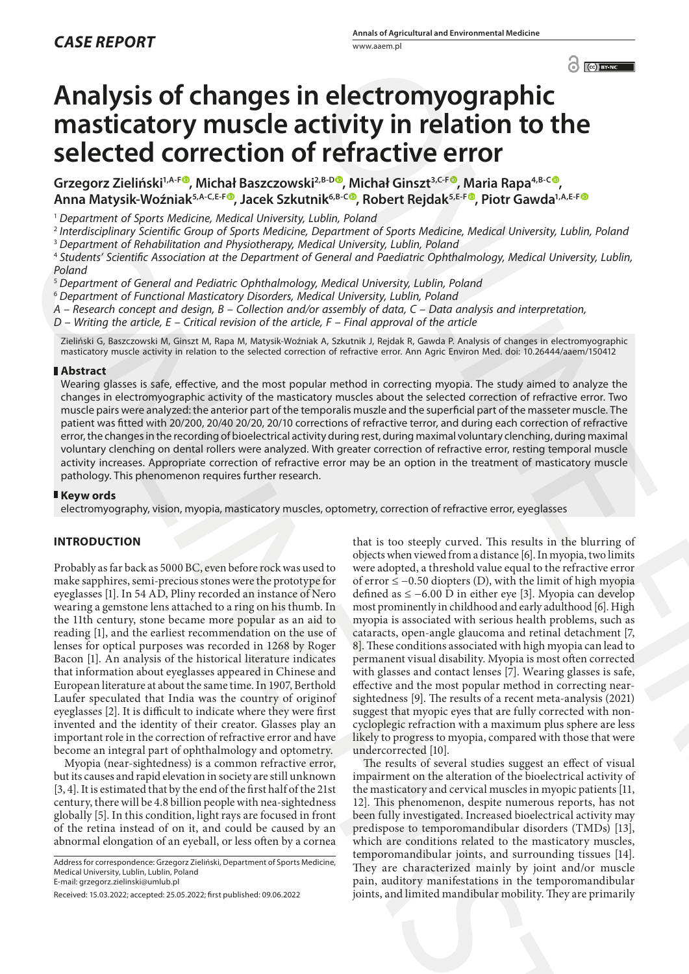# **Analysis of changes in electromyographic masticatory muscle activity in relation to the selected correction of refractive error**

**Grzegorz Zieliński1,A-F [,](https://orcid.org/0000-0002-2849-0641) Michał Baszczowski2,B-D , Michał Ginszt3,C-F , Maria Rapa4,B-C , Anna Matysik-Woźniak5,A-C,E-F , Jacek Szkutnik6,B-C , Robert Rejdak5,E-F , Piotr Gawda1,A,E-F**

<sup>1</sup> *Department of Sports Medicine, Medical University, Lublin, Poland*

<sup>2</sup> *Interdisciplinary Scientific Group of Sports Medicine, Department of Sports Medicine, Medical University, Lublin, Poland*

<sup>3</sup> *Department of Rehabilitation and Physiotherapy, Medical University, Lublin, Poland*

<sup>4</sup> *Students' Scientific Association at the Department of General and Paediatric Ophthalmology, Medical University, Lublin, Poland*

<sup>5</sup> *Department of General and Pediatric Ophthalmology, Medical University, Lublin, Poland*

<sup>6</sup> *Department of Functional Masticatory Disorders, Medical University, Lublin, Poland*

*A – Research concept and design, B – Collection and/or assembly of data, C – Data analysis and interpretation,* 

*D – Writing the article, E – Critical revision of the article, F – Final approval of the article*

Zieliński G, Baszczowski M, Ginszt M, Rapa M, Matysik-Woźniak A, Szkutnik J, Rejdak R, Gawda P. Analysis of changes in electromyographic masticatory muscle activity in relation to the selected correction of refractive error. Ann Agric Environ Med. doi: 10.26444/aaem/150412

#### **Abstract**

Wearing glasses is safe, effective, and the most popular method in correcting myopia. The study aimed to analyze the changes in electromyographic activity of the masticatory muscles about the selected correction of refractive error. Two muscle pairs were analyzed: the anterior part of the temporalis muszle and the superficial part of the masseter muscle. The patient was fitted with 20/200, 20/40 20/20, 20/10 corrections of refractive terror, and during each correction of refractive error, the changes in the recording of bioelectrical activity during rest, during maximal voluntary clenching, during maximal voluntary clenching on dental rollers were analyzed. With greater correction of refractive error, resting temporal muscle activity increases. Appropriate correction of refractive error may be an option in the treatment of masticatory muscle pathology. This phenomenon requires further research.

#### **Keyw ords**

electromyography, vision, myopia, masticatory muscles, optometry, correction of refractive error, eyeglasses

## **INTRODUCTION**

Probably as far back as 5000 BC, even before rock was used to make sapphires, semi-precious stones were the prototype for eyeglasses [1]. In 54 AD, Pliny recorded an instance of Nero wearing a gemstone lens attached to a ring on his thumb. In the 11th century, stone became more popular as an aid to reading [1], and the earliest recommendation on the use of lenses for optical purposes was recorded in 1268 by Roger Bacon [1]. An analysis of the historical literature indicates that information about eyeglasses appeared in Chinese and European literature at about the same time. In 1907, Berthold Laufer speculated that India was the country of originof eyeglasses [2]. It is difficult to indicate where they were first invented and the identity of their creator. Glasses play an important role in the correction of refractive error and have become an integral part of ophthalmology and optometry. 3 Internal patients of couple of Sport Medicine Disputerined of Sport Medicine between the stress of Sports (and Sports (and Sports (and Sports (and Sports (and Sports (and Sports (and Sports (and Sports (and Sports (and

Myopia (near-sightedness) is a common refractive error, but its causes and rapid elevation in society are still unknown [3, 4]. It is estimated that by the end of the first half of the 21st century, there will be 4.8 billion people with nea-sightedness globally [5]. In this condition, light rays are focused in front of the retina instead of on it, and could be caused by an abnormal elongation of an eyeball, or less often by a cornea

Address for correspondence: Grzegorz Zieliński, Department of Sports Medicine, Medical University, Lublin, Lublin, Poland E-mail: grzegorz.zielinski@umlub.pl

that is too steeply curved. This results in the blurring of objects when viewed from a distance [6]. In myopia, two limits were adopted, a threshold value equal to the refractive error of error ≤ −0.50 diopters (D), with the limit of high myopia defined as ≤ −6.00 D in either eye [3]. Myopia can develop most prominently in childhood and early adulthood [6]. High myopia is associated with serious health problems, such as cataracts, open-angle glaucoma and retinal detachment [7, 8]. These conditions associated with high myopia can lead to permanent visual disability. Myopia is most often corrected with glasses and contact lenses [7]. Wearing glasses is safe, effective and the most popular method in correcting nearsightedness [9]. The results of a recent meta-analysis (2021) suggest that myopic eyes that are fully corrected with noncycloplegic refraction with a maximum plus sphere are less likely to progress to myopia, compared with those that were undercorrected [10]. **C[ON](https://orcid.org/0000-0002-0800-6103)SERCTIVITY INTERFERIOR CONSERCTS (ETTER)**<br> **CONSERCTS CONSERCTS (ETTER)**<br> **CONSERCTS CONSERCTS (ETTER)**<br> **CONSERCTS CONSERCTS (ETTER)**<br> **CONSERCTS CONSERCTS** (EXECTS) (EXECTS) (EXECTS) (EXECTS)<br> *CONSERCTS (ETTER)* (

The results of several studies suggest an effect of visual impairment on the alteration of the bioelectrical activity of the masticatory and cervical muscles in myopic patients [11, 12]. This phenomenon, despite numerous reports, has not been fully investigated. Increased bioelectrical activity may predispose to temporomandibular disorders (TMDs) [13], which are conditions related to the masticatory muscles, temporomandibular joints, and surrounding tissues [14]. They are characterized mainly by joint and/or muscle pain, auditory manifestations in the temporomandibular joints, and limited mandibular mobility. They are primarily

Received: 15.03.2022; accepted: 25.05.2022; first published: 09.06.2022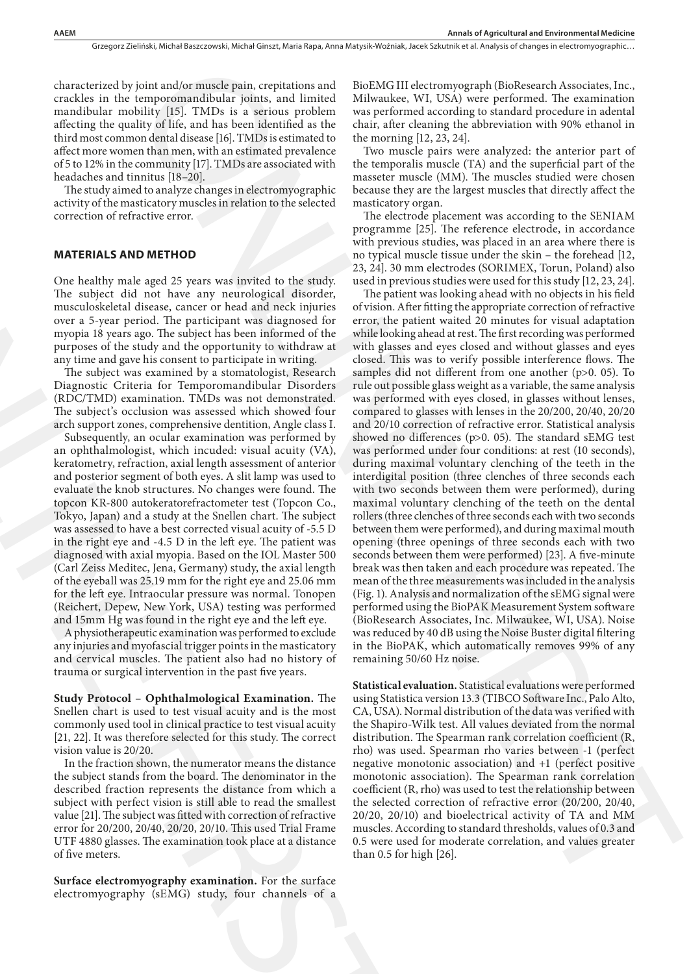characterized by joint and/or muscle pain, crepitations and crackles in the temporomandibular joints, and limited mandibular mobility [15]. TMDs is a serious problem affecting the quality of life, and has been identified as the third most common dental disease [16]. TMDs is estimated to affect more women than men, with an estimated prevalence of 5 to 12% in the community [17]. TMDs are associated with headaches and tinnitus [18–20].

The study aimed to analyze changes in electromyographic activity of the masticatory muscles in relation to the selected correction of refractive error.

#### **MATERIALS AND METHOD**

One healthy male aged 25 years was invited to the study. The subject did not have any neurological disorder, musculoskeletal disease, cancer or head and neck injuries over a 5-year period. The participant was diagnosed for myopia 18 years ago. The subject has been informed of the purposes of the study and the opportunity to withdraw at any time and gave his consent to participate in writing.

The subject was examined by a stomatologist, Research Diagnostic Criteria for Temporomandibular Disorders (RDC/TMD) examination. TMDs was not demonstrated. The subject's occlusion was assessed which showed four arch support zones, comprehensive dentition, Angle class I.

Subsequently, an ocular examination was performed by an ophthalmologist, which incuded: visual acuity (VA), keratometry, refraction, axial length assessment of anterior and posterior segment of both eyes. A slit lamp was used to evaluate the knob structures. No changes were found. The topcon KR-800 autokeratorefractometer test (Topcon Co., Tokyo, Japan) and a study at the Snellen chart. The subject was assessed to have a best corrected visual acuity of -5.5 D in the right eye and -4.5 D in the left eye. The patient was diagnosed with axial myopia. Based on the IOL Master 500 (Carl Zeiss Meditec, Jena, Germany) study, the axial length of the eyeball was 25.19 mm for the right eye and 25.06 mm for the left eye. Intraocular pressure was normal. Tonopen (Reichert, Depew, New York, USA) testing was performed and 15mm Hg was found in the right eye and the left eye. **MATERIALS AND METHOD**<br>
Transparent and the study profesor of the study and Dynamic One healthy male aged 25 years was invited to the study 23, 241<br>
The subject did not have any neurological discorer. The particular antic

A physiotherapeutic examination was performed to exclude any injuries and myofascial trigger points in the masticatory and cervical muscles. The patient also had no history of trauma or surgical intervention in the past five years.

**Study Protocol – Ophthalmological Examination.** The Snellen chart is used to test visual acuity and is the most commonly used tool in clinical practice to test visual acuity [21, 22]. It was therefore selected for this study. The correct vision value is 20/20.

In the fraction shown, the numerator means the distance the subject stands from the board. The denominator in the described fraction represents the distance from which a subject with perfect vision is still able to read the smallest value [21]. The subject was fitted with correction of refractive error for 20/200, 20/40, 20/20, 20/10. This used Trial Frame UTF 4880 glasses. The examination took place at a distance of five meters.

**Surface electromyography examination.** For the surface electromyography (sEMG) study, four channels of a

BioEMG III electromyograph (BioResearch Associates, Inc., Milwaukee, WI, USA) were performed. The examination was performed according to standard procedure in adental chair, after cleaning the abbreviation with 90% ethanol in the morning [12, 23, 24].

Two muscle pairs were analyzed: the anterior part of the temporalis muscle (TA) and the superficial part of the masseter muscle (MM). The muscles studied were chosen because they are the largest muscles that directly affect the masticatory organ.

The electrode placement was according to the SENIAM programme [25]. The reference electrode, in accordance with previous studies, was placed in an area where there is no typical muscle tissue under the skin – the forehead [12, 23, 24]. 30 mm electrodes (SORIMEX, Torun, Poland) also used in previous studies were used for this study [12, 23, 24].

The patient was looking ahead with no objects in his field of vision. After fitting the appropriate correction of refractive error, the patient waited 20 minutes for visual adaptation while looking ahead at rest. The first recording was performed with glasses and eyes closed and without glasses and eyes closed. This was to verify possible interference flows. The samples did not different from one another (p>0. 05). To rule out possible glass weight as a variable, the same analysis was performed with eyes closed, in glasses without lenses, compared to glasses with lenses in the 20/200, 20/40, 20/20 and 20/10 correction of refractive error. Statistical analysis showed no differences (p>0. 05). The standard sEMG test was performed under four conditions: at rest (10 seconds), during maximal voluntary clenching of the teeth in the interdigital position (three clenches of three seconds each with two seconds between them were performed), during maximal voluntary clenching of the teeth on the dental rollers (three clenches of three seconds each with two seconds between them were performed), and during maximal mouth opening (three openings of three seconds each with two seconds between them were performed) [23]. A five-minute break was then taken and each procedure was repeated. The mean of the three measurements was included in the analysis (Fig. 1). Analysis and normalization of the sEMG signal were performed using the BioPAK Measurement System software (BioResearch Associates, Inc. Milwaukee, WI, USA). Noise was reduced by 40 dB using the Noise Buster digital filtering in the BioPAK, which automatically removes 99% of any remaining 50/60 Hz noise. bint and/or musicipals, crystalisms and Biof-MG iiI decirates/graph (Blockward, Associates, Inc.<br>
1967. And the bint in the Higgs Hermannian Markov (15.00) were performed. The rearrival<br>sign of the plane of the state of t

**Statistical evaluation.** Statistical evaluations were performed using Statistica version 13.3 (TIBCO Software Inc., Palo Alto, CA, USA). Normal distribution of the data was verified with the Shapiro-Wilk test. All values deviated from the normal distribution. The Spearman rank correlation coefficient (R, rho) was used. Spearman rho varies between -1 (perfect negative monotonic association) and +1 (perfect positive monotonic association). The Spearman rank correlation coefficient (R, rho) was used to test the relationship between the selected correction of refractive error (20/200, 20/40, 20/20, 20/10) and bioelectrical activity of TA and MM muscles. According to standard thresholds, values of 0.3 and 0.5 were used for moderate correlation, and values greater than 0.5 for high [26].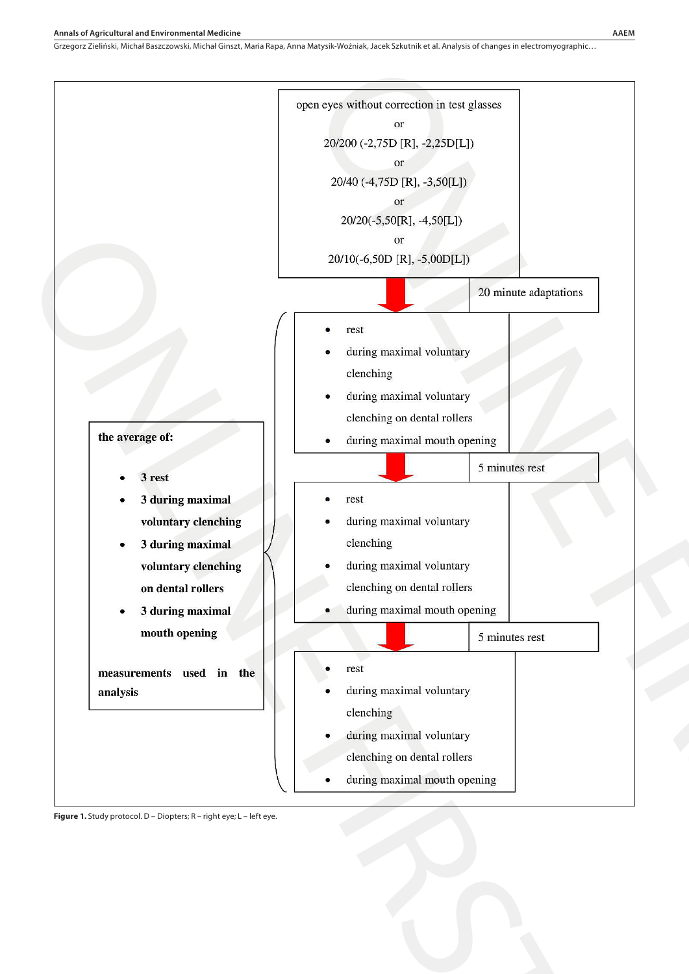

**Figure 1.** Study protocol. D – Diopters; R – right eye; L – left eye.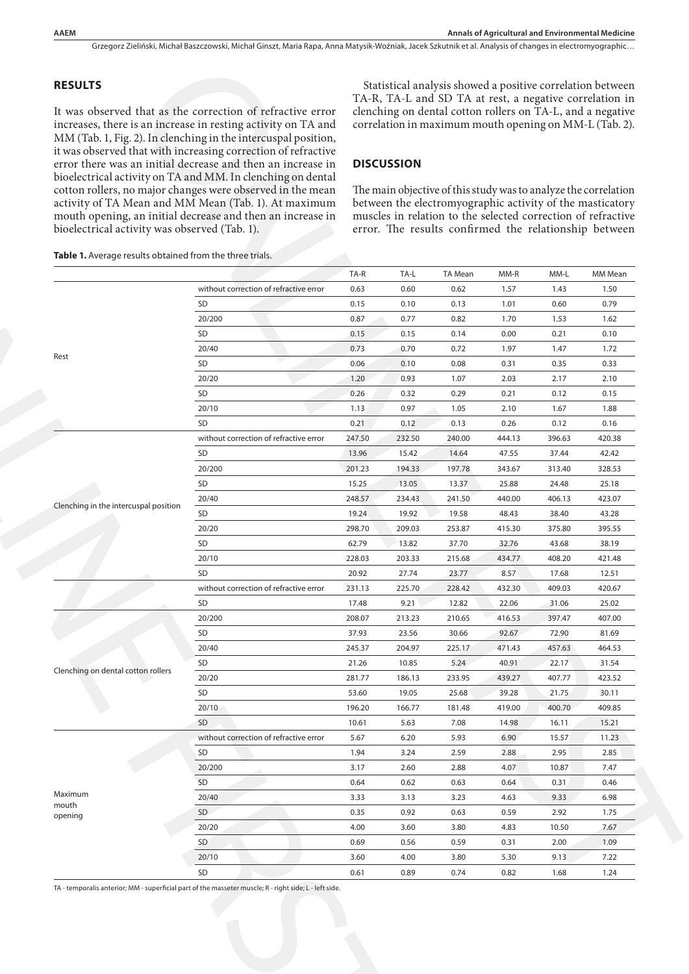#### **RESULTS**

### **DISCUSSION**

| It was observed that as the correction of refractive error<br>increases, there is an increase in resting activity on TA and<br>MM (Tab. 1, Fig. 2). In clenching in the intercuspal position,<br>it was observed that with increasing correction of refractive<br>error there was an initial decrease and then an increase in<br>bioelectrical activity on TA and MM. In clenching on dental<br>cotton rollers, no major changes were observed in the mean<br>activity of TA Mean and MM Mean (Tab. 1). At maximum<br>mouth opening, an initial decrease and then an increase in<br>bioelectrical activity was observed (Tab. 1). |                                        |        | Statistical analysis showed a positive correlation between<br>TA-R, TA-L and SD TA at rest, a negative correlation in<br>clenching on dental cotton rollers on TA-L, and a negative<br>correlation in maximum mouth opening on MM-L (Tab. 2).<br><b>DISCUSSION</b><br>The main objective of this study was to analyze the correlation<br>between the electromyographic activity of the masticatory<br>muscles in relation to the selected correction of refractive<br>error. The results confirmed the relationship between |                |        |        |         |  |  |
|-----------------------------------------------------------------------------------------------------------------------------------------------------------------------------------------------------------------------------------------------------------------------------------------------------------------------------------------------------------------------------------------------------------------------------------------------------------------------------------------------------------------------------------------------------------------------------------------------------------------------------------|----------------------------------------|--------|-----------------------------------------------------------------------------------------------------------------------------------------------------------------------------------------------------------------------------------------------------------------------------------------------------------------------------------------------------------------------------------------------------------------------------------------------------------------------------------------------------------------------------|----------------|--------|--------|---------|--|--|
| Table 1. Average results obtained from the three trials.                                                                                                                                                                                                                                                                                                                                                                                                                                                                                                                                                                          |                                        |        |                                                                                                                                                                                                                                                                                                                                                                                                                                                                                                                             |                |        |        |         |  |  |
|                                                                                                                                                                                                                                                                                                                                                                                                                                                                                                                                                                                                                                   |                                        | TA-R   | TA-L                                                                                                                                                                                                                                                                                                                                                                                                                                                                                                                        | <b>TA Mean</b> | MM-R   | MM-L   | MM Mean |  |  |
|                                                                                                                                                                                                                                                                                                                                                                                                                                                                                                                                                                                                                                   | without correction of refractive error | 0.63   | 0.60                                                                                                                                                                                                                                                                                                                                                                                                                                                                                                                        | 0.62           | 1.57   | 1.43   | 1.50    |  |  |
|                                                                                                                                                                                                                                                                                                                                                                                                                                                                                                                                                                                                                                   | SD                                     | 0.15   | 0.10                                                                                                                                                                                                                                                                                                                                                                                                                                                                                                                        | 0.13           | 1.01   | 0.60   | 0.79    |  |  |
|                                                                                                                                                                                                                                                                                                                                                                                                                                                                                                                                                                                                                                   | 20/200                                 | 0.87   | 0.77                                                                                                                                                                                                                                                                                                                                                                                                                                                                                                                        | 0.82           | 1.70   | 1.53   | 1.62    |  |  |
|                                                                                                                                                                                                                                                                                                                                                                                                                                                                                                                                                                                                                                   | SD                                     | 0.15   | 0.15                                                                                                                                                                                                                                                                                                                                                                                                                                                                                                                        | 0.14           | 0.00   | 0.21   | 0.10    |  |  |
| Rest                                                                                                                                                                                                                                                                                                                                                                                                                                                                                                                                                                                                                              | 20/40                                  | 0.73   | 0.70                                                                                                                                                                                                                                                                                                                                                                                                                                                                                                                        | 0.72           | 1.97   | 1.47   | 1.72    |  |  |
|                                                                                                                                                                                                                                                                                                                                                                                                                                                                                                                                                                                                                                   | SD                                     | 0.06   | 0.10                                                                                                                                                                                                                                                                                                                                                                                                                                                                                                                        | 0.08           | 0.31   | 0.35   | 0.33    |  |  |
|                                                                                                                                                                                                                                                                                                                                                                                                                                                                                                                                                                                                                                   | 20/20                                  | 1.20   | 0.93                                                                                                                                                                                                                                                                                                                                                                                                                                                                                                                        | 1.07           | 2.03   | 2.17   | 2.10    |  |  |
|                                                                                                                                                                                                                                                                                                                                                                                                                                                                                                                                                                                                                                   | SD                                     | 0.26   | 0.32                                                                                                                                                                                                                                                                                                                                                                                                                                                                                                                        | 0.29           | 0.21   | 0.12   | 0.15    |  |  |
|                                                                                                                                                                                                                                                                                                                                                                                                                                                                                                                                                                                                                                   | 20/10                                  | 1.13   | 0.97                                                                                                                                                                                                                                                                                                                                                                                                                                                                                                                        | 1.05           | 2.10   | 1.67   | 1.88    |  |  |
|                                                                                                                                                                                                                                                                                                                                                                                                                                                                                                                                                                                                                                   | <b>SD</b>                              | 0.21   | 0.12                                                                                                                                                                                                                                                                                                                                                                                                                                                                                                                        | 0.13           | 0.26   | 0.12   | 0.16    |  |  |
|                                                                                                                                                                                                                                                                                                                                                                                                                                                                                                                                                                                                                                   | without correction of refractive error | 247.50 | 232.50                                                                                                                                                                                                                                                                                                                                                                                                                                                                                                                      | 240.00         | 444.13 | 396.63 | 420.38  |  |  |
|                                                                                                                                                                                                                                                                                                                                                                                                                                                                                                                                                                                                                                   | SD                                     | 13.96  | 15.42                                                                                                                                                                                                                                                                                                                                                                                                                                                                                                                       | 14.64          | 47.55  | 37.44  | 42.42   |  |  |
|                                                                                                                                                                                                                                                                                                                                                                                                                                                                                                                                                                                                                                   | 20/200                                 | 201.23 | 194.33                                                                                                                                                                                                                                                                                                                                                                                                                                                                                                                      | 197.78         | 343.67 | 313.40 | 328.53  |  |  |
|                                                                                                                                                                                                                                                                                                                                                                                                                                                                                                                                                                                                                                   | SD                                     | 15.25  | 13.05                                                                                                                                                                                                                                                                                                                                                                                                                                                                                                                       | 13.37          | 25.88  | 24.48  | 25.18   |  |  |
| Clenching in the intercuspal position                                                                                                                                                                                                                                                                                                                                                                                                                                                                                                                                                                                             | 20/40                                  | 248.57 | 234.43                                                                                                                                                                                                                                                                                                                                                                                                                                                                                                                      | 241.50         | 440.00 | 406.13 | 423.07  |  |  |
|                                                                                                                                                                                                                                                                                                                                                                                                                                                                                                                                                                                                                                   | SD                                     | 19.24  | 19.92                                                                                                                                                                                                                                                                                                                                                                                                                                                                                                                       | 19.58          | 48.43  | 38.40  | 43.28   |  |  |
|                                                                                                                                                                                                                                                                                                                                                                                                                                                                                                                                                                                                                                   | 20/20                                  | 298.70 | 209.03                                                                                                                                                                                                                                                                                                                                                                                                                                                                                                                      | 253.87         | 415.30 | 375.80 | 395.55  |  |  |
|                                                                                                                                                                                                                                                                                                                                                                                                                                                                                                                                                                                                                                   | SD                                     | 62.79  | 13.82                                                                                                                                                                                                                                                                                                                                                                                                                                                                                                                       | 37.70          | 32.76  | 43.68  | 38.19   |  |  |
|                                                                                                                                                                                                                                                                                                                                                                                                                                                                                                                                                                                                                                   | 20/10                                  | 228.03 | 203.33                                                                                                                                                                                                                                                                                                                                                                                                                                                                                                                      | 215.68         | 434.77 | 408.20 | 421.48  |  |  |
|                                                                                                                                                                                                                                                                                                                                                                                                                                                                                                                                                                                                                                   | <b>SD</b>                              | 20.92  | 27.74                                                                                                                                                                                                                                                                                                                                                                                                                                                                                                                       | 23.77          | 8.57   | 17.68  | 12.51   |  |  |
|                                                                                                                                                                                                                                                                                                                                                                                                                                                                                                                                                                                                                                   | without correction of refractive error | 231.13 | 225.70                                                                                                                                                                                                                                                                                                                                                                                                                                                                                                                      | 228.42         | 432.30 | 409.03 | 420.67  |  |  |
|                                                                                                                                                                                                                                                                                                                                                                                                                                                                                                                                                                                                                                   | SD                                     | 17.48  | 9.21                                                                                                                                                                                                                                                                                                                                                                                                                                                                                                                        | 12.82          | 22.06  | 31.06  | 25.02   |  |  |
|                                                                                                                                                                                                                                                                                                                                                                                                                                                                                                                                                                                                                                   | 20/200                                 | 208.07 | 213.23                                                                                                                                                                                                                                                                                                                                                                                                                                                                                                                      | 210.65         | 416.53 | 397.47 | 407.00  |  |  |
|                                                                                                                                                                                                                                                                                                                                                                                                                                                                                                                                                                                                                                   | SD                                     | 37.93  | 23.56                                                                                                                                                                                                                                                                                                                                                                                                                                                                                                                       | 30.66          | 92.67  | 72.90  | 81.69   |  |  |
|                                                                                                                                                                                                                                                                                                                                                                                                                                                                                                                                                                                                                                   | 20/40                                  | 245.37 | 204.97                                                                                                                                                                                                                                                                                                                                                                                                                                                                                                                      | 225.17         | 471.43 | 457.63 | 464.53  |  |  |
| Clenching on dental cotton rollers                                                                                                                                                                                                                                                                                                                                                                                                                                                                                                                                                                                                | SD                                     | 21.26  | 10.85                                                                                                                                                                                                                                                                                                                                                                                                                                                                                                                       | 5.24           | 40.91  | 22.17  | 31.54   |  |  |
|                                                                                                                                                                                                                                                                                                                                                                                                                                                                                                                                                                                                                                   | 20/20                                  | 281.77 | 186.13                                                                                                                                                                                                                                                                                                                                                                                                                                                                                                                      | 233.95         | 439.27 | 407.77 | 423.52  |  |  |
|                                                                                                                                                                                                                                                                                                                                                                                                                                                                                                                                                                                                                                   | SD                                     | 53.60  | 19.05                                                                                                                                                                                                                                                                                                                                                                                                                                                                                                                       | 25.68          | 39.28  | 21.75  | 30.11   |  |  |
|                                                                                                                                                                                                                                                                                                                                                                                                                                                                                                                                                                                                                                   | 20/10                                  | 196.20 | 166.77                                                                                                                                                                                                                                                                                                                                                                                                                                                                                                                      | 181.48         | 419.00 | 400.70 | 409.85  |  |  |
|                                                                                                                                                                                                                                                                                                                                                                                                                                                                                                                                                                                                                                   | <b>SD</b>                              | 10.61  | 5.63                                                                                                                                                                                                                                                                                                                                                                                                                                                                                                                        | 7.08           | 14.98  | 16.11  | 15.21   |  |  |
|                                                                                                                                                                                                                                                                                                                                                                                                                                                                                                                                                                                                                                   | without correction of refractive error | 5.67   | 6.20                                                                                                                                                                                                                                                                                                                                                                                                                                                                                                                        | 5.93           | 6.90   | 15.57  | 11.23   |  |  |
|                                                                                                                                                                                                                                                                                                                                                                                                                                                                                                                                                                                                                                   | SD                                     | 1.94   | 3.24                                                                                                                                                                                                                                                                                                                                                                                                                                                                                                                        | 2.59           | 2.88   | 2.95   | 2.85    |  |  |
|                                                                                                                                                                                                                                                                                                                                                                                                                                                                                                                                                                                                                                   | 20/200                                 | 3.17   | 2.60                                                                                                                                                                                                                                                                                                                                                                                                                                                                                                                        | 2.88           | 4.07   | 10.87  | 7.47    |  |  |
|                                                                                                                                                                                                                                                                                                                                                                                                                                                                                                                                                                                                                                   | SD                                     | 0.64   | 0.62                                                                                                                                                                                                                                                                                                                                                                                                                                                                                                                        | 0.63           | 0.64   | 0.31   | 0.46    |  |  |
| Maximum                                                                                                                                                                                                                                                                                                                                                                                                                                                                                                                                                                                                                           | 20/40                                  | 3.33   | 3.13                                                                                                                                                                                                                                                                                                                                                                                                                                                                                                                        | 3.23           | 4.63   | 9.33   | 6.98    |  |  |
| mouth<br>opening                                                                                                                                                                                                                                                                                                                                                                                                                                                                                                                                                                                                                  | SD                                     | 0.35   | 0.92                                                                                                                                                                                                                                                                                                                                                                                                                                                                                                                        | 0.63           | 0.59   | 2.92   | 1.75    |  |  |
|                                                                                                                                                                                                                                                                                                                                                                                                                                                                                                                                                                                                                                   | 20/20                                  | 4.00   | 3.60                                                                                                                                                                                                                                                                                                                                                                                                                                                                                                                        | 3.80           | 4.83   | 10.50  | 7.67    |  |  |
|                                                                                                                                                                                                                                                                                                                                                                                                                                                                                                                                                                                                                                   | SD                                     | 0.69   | 0.56                                                                                                                                                                                                                                                                                                                                                                                                                                                                                                                        | 0.59           | 0.31   | 2.00   | 1.09    |  |  |
|                                                                                                                                                                                                                                                                                                                                                                                                                                                                                                                                                                                                                                   | 20/10                                  | 3.60   | 4.00                                                                                                                                                                                                                                                                                                                                                                                                                                                                                                                        | 3.80           | 5.30   | 9.13   | 7.22    |  |  |
|                                                                                                                                                                                                                                                                                                                                                                                                                                                                                                                                                                                                                                   | SD                                     | 0.61   | 0.89                                                                                                                                                                                                                                                                                                                                                                                                                                                                                                                        | 0.74           | 0.82   | 1.68   | 1.24    |  |  |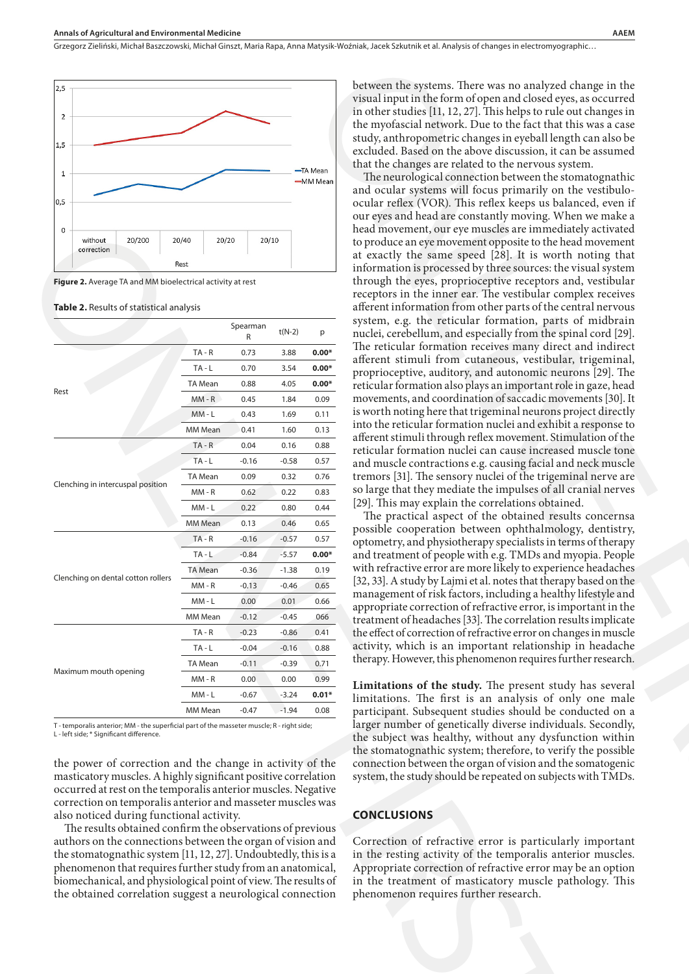

**Figure 2.** Average TA and MM bioelectrical activity at rest

#### **Table 2.** Results of statistical analysis

|      | without                                                    | 20/200                                                                                                                                                                                                                                                                                     | 20/40   | 20/20                                                                                                                        |               | 20/10    |         |  |  |  |
|------|------------------------------------------------------------|--------------------------------------------------------------------------------------------------------------------------------------------------------------------------------------------------------------------------------------------------------------------------------------------|---------|------------------------------------------------------------------------------------------------------------------------------|---------------|----------|---------|--|--|--|
|      | correction                                                 |                                                                                                                                                                                                                                                                                            |         |                                                                                                                              |               |          |         |  |  |  |
|      |                                                            |                                                                                                                                                                                                                                                                                            | Rest    |                                                                                                                              |               |          |         |  |  |  |
|      |                                                            | Figure 2. Average TA and MM bioelectrical activity at rest                                                                                                                                                                                                                                 |         |                                                                                                                              |               |          |         |  |  |  |
|      |                                                            | Table 2. Results of statistical analysis                                                                                                                                                                                                                                                   |         |                                                                                                                              |               |          |         |  |  |  |
|      |                                                            |                                                                                                                                                                                                                                                                                            |         |                                                                                                                              |               |          |         |  |  |  |
|      |                                                            |                                                                                                                                                                                                                                                                                            |         |                                                                                                                              | Spearman<br>R | $t(N-2)$ | p       |  |  |  |
|      |                                                            |                                                                                                                                                                                                                                                                                            |         | $TA - R$                                                                                                                     | 0.73          | 3.88     | $0.00*$ |  |  |  |
|      |                                                            |                                                                                                                                                                                                                                                                                            |         | $TA - L$                                                                                                                     | 0.70          | 3.54     | $0.00*$ |  |  |  |
|      |                                                            |                                                                                                                                                                                                                                                                                            |         | TA Mean                                                                                                                      | 0.88          | 4.05     | $0.00*$ |  |  |  |
| Rest |                                                            |                                                                                                                                                                                                                                                                                            |         | $MM - R$                                                                                                                     | 0.45          | 1.84     | 0.09    |  |  |  |
|      |                                                            |                                                                                                                                                                                                                                                                                            |         | $MM - L$                                                                                                                     | 0.43          | 1.69     | 0.11    |  |  |  |
|      |                                                            |                                                                                                                                                                                                                                                                                            |         | MM Mean                                                                                                                      | 0.41          | 1.60     | 0.13    |  |  |  |
|      |                                                            |                                                                                                                                                                                                                                                                                            |         | $TA - R$                                                                                                                     | 0.04          | 0.16     | 0.88    |  |  |  |
|      |                                                            |                                                                                                                                                                                                                                                                                            |         | $TA - L$                                                                                                                     | $-0.16$       | $-0.58$  | 0.57    |  |  |  |
|      |                                                            |                                                                                                                                                                                                                                                                                            |         | TA Mean                                                                                                                      | 0.09          | 0.32     | 0.76    |  |  |  |
|      |                                                            | Clenching in intercuspal position                                                                                                                                                                                                                                                          |         | $MM - R$                                                                                                                     | 0.62          | 0.22     | 0.83    |  |  |  |
|      |                                                            |                                                                                                                                                                                                                                                                                            | MM - L  | 0.22                                                                                                                         | 0.80          | 0.44     |         |  |  |  |
|      |                                                            |                                                                                                                                                                                                                                                                                            | MM Mean | 0.13                                                                                                                         | 0.46          | 0.65     |         |  |  |  |
|      |                                                            |                                                                                                                                                                                                                                                                                            |         | $TA - R$                                                                                                                     | $-0.16$       | $-0.57$  | 0.57    |  |  |  |
|      |                                                            |                                                                                                                                                                                                                                                                                            |         | $TA - L$                                                                                                                     | $-0.84$       | $-5.57$  | $0.00*$ |  |  |  |
|      |                                                            |                                                                                                                                                                                                                                                                                            |         | TA Mean                                                                                                                      | $-0.36$       | $-1.38$  | 0.19    |  |  |  |
|      |                                                            | Clenching on dental cotton rollers                                                                                                                                                                                                                                                         |         | $MM - R$                                                                                                                     | $-0.13$       | $-0.46$  | 0.65    |  |  |  |
|      |                                                            |                                                                                                                                                                                                                                                                                            |         | MM - L                                                                                                                       | 0.00          | 0.01     | 0.66    |  |  |  |
|      |                                                            |                                                                                                                                                                                                                                                                                            |         | MM Mean                                                                                                                      | $-0.12$       | $-0.45$  | 066     |  |  |  |
|      |                                                            | TA - R                                                                                                                                                                                                                                                                                     | $-0.23$ | $-0.86$                                                                                                                      | 0.41          |          |         |  |  |  |
|      |                                                            | TA-L                                                                                                                                                                                                                                                                                       | $-0.04$ | $-0.16$                                                                                                                      | 0.88          |          |         |  |  |  |
|      |                                                            | TA Mean                                                                                                                                                                                                                                                                                    | $-0.11$ | $-0.39$                                                                                                                      | 0.71          |          |         |  |  |  |
|      | Maximum mouth opening                                      |                                                                                                                                                                                                                                                                                            |         | $MM - R$                                                                                                                     | 0.00          | 0.00     | 0.99    |  |  |  |
|      |                                                            |                                                                                                                                                                                                                                                                                            |         | MM - L                                                                                                                       | $-0.67$       | $-3.24$  | $0.01*$ |  |  |  |
|      |                                                            |                                                                                                                                                                                                                                                                                            |         | MM Mean                                                                                                                      | $-0.47$       | $-1.94$  | 0.08    |  |  |  |
|      | L - left side; * Significant difference.                   | T - temporalis anterior; MM - the superficial part of the masseter muscle; R - right side;<br>the power of correction and the change in activity of the<br>masticatory muscles. A highly significant positive correlation<br>occurred at rest on the temporalis anterior muscles. Negative |         |                                                                                                                              |               |          |         |  |  |  |
|      |                                                            | correction on temporalis anterior and masseter muscles was<br>also noticed during functional activity.                                                                                                                                                                                     |         |                                                                                                                              |               |          |         |  |  |  |
|      |                                                            | The results obtained confirm the observations of previous                                                                                                                                                                                                                                  |         |                                                                                                                              |               |          |         |  |  |  |
|      |                                                            | authors on the connections between the organ of vision and                                                                                                                                                                                                                                 |         |                                                                                                                              |               |          |         |  |  |  |
|      |                                                            | the stomatognathic system [11, 12, 27]. Undoubtedly, this is a                                                                                                                                                                                                                             |         |                                                                                                                              |               |          |         |  |  |  |
|      |                                                            |                                                                                                                                                                                                                                                                                            |         |                                                                                                                              |               |          |         |  |  |  |
|      | phenomenon that requires further study from an anatomical, |                                                                                                                                                                                                                                                                                            |         | biomechanical, and physiological point of view. The results of<br>the obtained correlation suggest a neurological connection |               |          |         |  |  |  |
|      |                                                            |                                                                                                                                                                                                                                                                                            |         |                                                                                                                              |               |          |         |  |  |  |

between the systems. There was no analyzed change in the visual input in the form of open and closed eyes, as occurred in other studies [11, 12, 27]. This helps to rule out changes in the myofascial network. Due to the fact that this was a case study, anthropometric changes in eyeball length can also be excluded. Based on the above discussion, it can be assumed that the changes are related to the nervous system.

The neurological connection between the stomatognathic and ocular systems will focus primarily on the vestibuloocular reflex (VOR). This reflex keeps us balanced, even if our eyes and head are constantly moving. When we make a head movement, our eye muscles are immediately activated to produce an eye movement opposite to the head movement at exactly the same speed [28]. It is worth noting that information is processed by three sources: the visual system through the eyes, proprioceptive receptors and, vestibular receptors in the inner ear. The vestibular complex receives afferent information from other parts of the central nervous system, e.g. the reticular formation, parts of midbrain nuclei, cerebellum, and especially from the spinal cord [29]. The reticular formation receives many direct and indirect afferent stimuli from cutaneous, vestibular, trigeminal, proprioceptive, auditory, and autonomic neurons [29]. The reticular formation also plays an important role in gaze, head movements, and coordination of saccadic movements [30].It is worth noting here that trigeminal neurons project directly into the reticular formation nuclei and exhibit a response to afferent stimuli through reflex movement. Stimulation of the reticular formation nuclei can cause increased muscle tone and muscle contractions e.g. causing facial and neck muscle tremors [31]. The sensory nuclei of the trigeminal nerve are so large that they mediate the impulses of all cranial nerves [29]. This may explain the correlations obtained. between the systems. There was no ambyzed change in the visual rand in the brand in the form of opera and closed eyes, as occurred in other samples in the mynésical network. Due to the fact that this was a case of the pro

The practical aspect of the obtained results concernsa possible cooperation between ophthalmology, dentistry, optometry, and physiotherapy specialists in terms of therapy and treatment of people with e.g. TMDs and myopia. People with refractive error are more likely to experience headaches [32, 33]. A study by Lajmi et al. notes that therapy based on the management of risk factors, including a healthy lifestyle and appropriate correction of refractive error, is important in the treatment of headaches [33]. The correlation results implicate the effect of correction of refractive error on changes in muscle activity, which is an important relationship in headache therapy. However, this phenomenon requires further research.

**Limitations of the study.** The present study has several limitations. The first is an analysis of only one male participant. Subsequent studies should be conducted on a larger number of genetically diverse individuals. Secondly, the subject was healthy, without any dysfunction within the stomatognathic system; therefore, to verify the possible connection between the organ of vision and the somatogenic system, the study should be repeated on subjects with TMDs.

#### **CONCLUSIONS**

Correction of refractive error is particularly important in the resting activity of the temporalis anterior muscles. Appropriate correction of refractive error may be an option in the treatment of masticatory muscle pathology. This phenomenon requires further research.